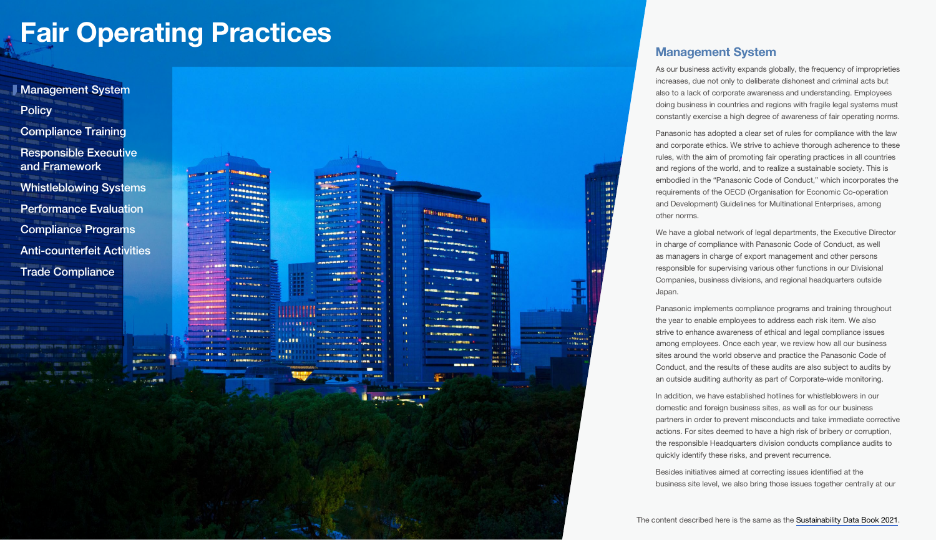<span id="page-0-0"></span>

## Management System

As our business activity expands globally, the frequency of improprieties increases, due not only to deliberate dishonest and criminal acts but also to a lack of corporate awareness and understanding. Employees doing business in countries and regions with fragile legal systems must constantly exercise a high degree of awareness of fair operating norms.

Panasonic has adopted a clear set of rules for compliance with the law and corporate ethics. We strive to achieve thorough adherence to these rules, with the aim of promoting fair operating practices in all countries and regions of the world, and to realize a sustainable society. This is embodied in the "Panasonic Code of Conduct," which incorporates the requirements of the OECD (Organisation for Economic Co-operation and Development) Guidelines for Multinational Enterprises, among other norms.

We have a global network of legal departments, the Executive Director in charge of compliance with Panasonic Code of Conduct, as well as managers in charge of export management and other persons responsible for supervising various other functions in our Divisional Companies, business divisions, and regional headquarters outside Japan.

Panasonic implements compliance programs and training throughout the year to enable employees to address each risk item. We also strive to enhance awareness of ethical and legal compliance issues among employees. Once each year, we review how all our business sites around the world observe and practice the Panasonic Code of Conduct, and the results of these audits are also subject to audits by an outside auditing authority as part of Corporate-wide monitoring.

In addition, we have established hotlines for whistleblowers in our domestic and foreign business sites, as well as for our business partners in order to prevent misconducts and take immediate corrective actions. For sites deemed to have a high risk of bribery or corruption, the responsible Headquarters division conducts compliance audits to quickly identify these risks, and prevent recurrence.

Besides initiatives aimed at correcting issues identified at the business site level, we also bring those issues together centrally at our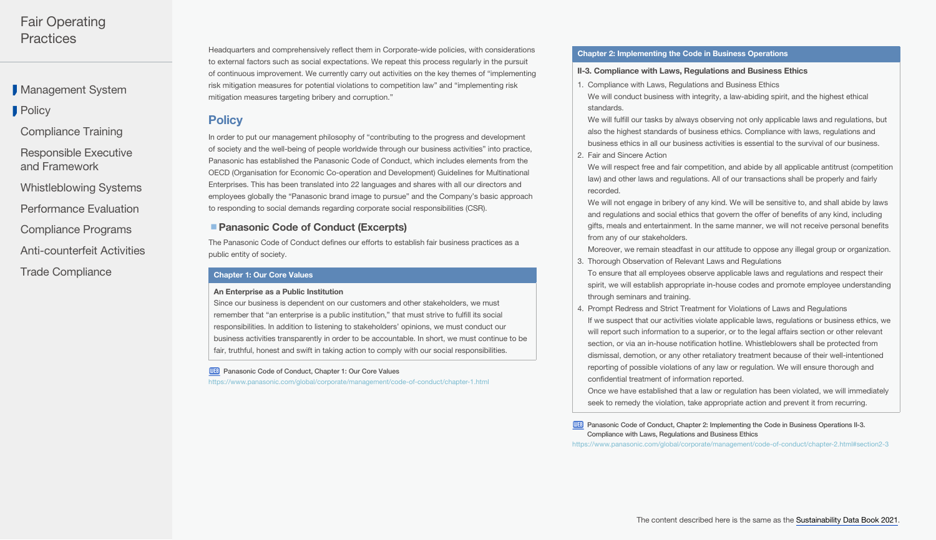<span id="page-1-0"></span>**[Management System](#page-0-0)** 

**Policy** 

[Compliance Training](#page-2-0)

[Responsible Executive](#page-2-0)  and Framework

[Whistleblowing Systems](#page-2-0)

[Performance Evaluation](#page-3-0)

[Compliance Programs](#page-3-0)

[Anti-counterfeit Activities](#page-6-0)

[Trade Compliance](#page-6-0)

Headquarters and comprehensively reflect them in Corporate-wide policies, with considerations to external factors such as social expectations. We repeat this process regularly in the pursuit of continuous improvement. We currently carry out activities on the key themes of "implementing risk mitigation measures for potential violations to competition law" and "implementing risk mitigation measures targeting bribery and corruption."

## **Policy**

In order to put our management philosophy of "contributing to the progress and development of society and the well-being of people worldwide through our business activities" into practice, Panasonic has established the Panasonic Code of Conduct, which includes elements from the OECD (Organisation for Economic Co-operation and Development) Guidelines for Multinational Enterprises. This has been translated into 22 languages and shares with all our directors and employees globally the "Panasonic brand image to pursue" and the Company's basic approach to responding to social demands regarding corporate social responsibilities (CSR).

## ■ Panasonic Code of Conduct (Excerpts)

The Panasonic Code of Conduct defines our efforts to establish fair business practices as a public entity of society.

#### Chapter 1: Our Core Values

#### An Enterprise as a Public Institution

Since our business is dependent on our customers and other stakeholders, we must remember that "an enterprise is a public institution," that must strive to fulfill its social responsibilities. In addition to listening to stakeholders' opinions, we must conduct our business activities transparently in order to be accountable. In short, we must continue to be fair, truthful, honest and swift in taking action to comply with our social responsibilities.

**WEB** [Panasonic Code of Conduct, Chapter 1: Our Core Values](https://www.panasonic.com/global/corporate/management/code-of-conduct/chapter-1.html)

<https://www.panasonic.com/global/corporate/management/code-of-conduct/chapter-1.html>

#### Chapter 2: Implementing the Code in Business Operations

#### II-3. Compliance with Laws, Regulations and Business Ethics

1. Compliance with Laws, Regulations and Business Ethics We will conduct business with integrity, a law-abiding spirit, and the highest ethical standards.

We will fulfill our tasks by always observing not only applicable laws and regulations, but also the highest standards of business ethics. Compliance with laws, regulations and business ethics in all our business activities is essential to the survival of our business.

- 2. Fair and Sincere Action
- We will respect free and fair competition, and abide by all applicable antitrust (competition law) and other laws and regulations. All of our transactions shall be properly and fairly recorded.

We will not engage in bribery of any kind. We will be sensitive to, and shall abide by laws and regulations and social ethics that govern the offer of benefits of any kind, including gifts, meals and entertainment. In the same manner, we will not receive personal benefits from any of our stakeholders.

Moreover, we remain steadfast in our attitude to oppose any illegal group or organization.

- 3. Thorough Observation of Relevant Laws and Regulations
- To ensure that all employees observe applicable laws and regulations and respect their spirit, we will establish appropriate in-house codes and promote employee understanding through seminars and training.
- 4. Prompt Redress and Strict Treatment for Violations of Laws and Regulations If we suspect that our activities violate applicable laws, regulations or business ethics, we will report such information to a superior, or to the legal affairs section or other relevant section, or via an in-house notification hotline. Whistleblowers shall be protected from dismissal, demotion, or any other retaliatory treatment because of their well-intentioned reporting of possible violations of any law or regulation. We will ensure thorough and confidential treatment of information reported.

Once we have established that a law or regulation has been violated, we will immediately seek to remedy the violation, take appropriate action and prevent it from recurring.

**WEB** Panasonic Code of Conduct, Chapter 2: Implementing the Code in Business Operations II-3. [Compliance with Laws, Regulations and Business Ethics](https://www.panasonic.com/global/corporate/management/code-of-conduct/chapter-2.html#section2-3)

<https://www.panasonic.com/global/corporate/management/code-of-conduct/chapter-2.html#section2-3>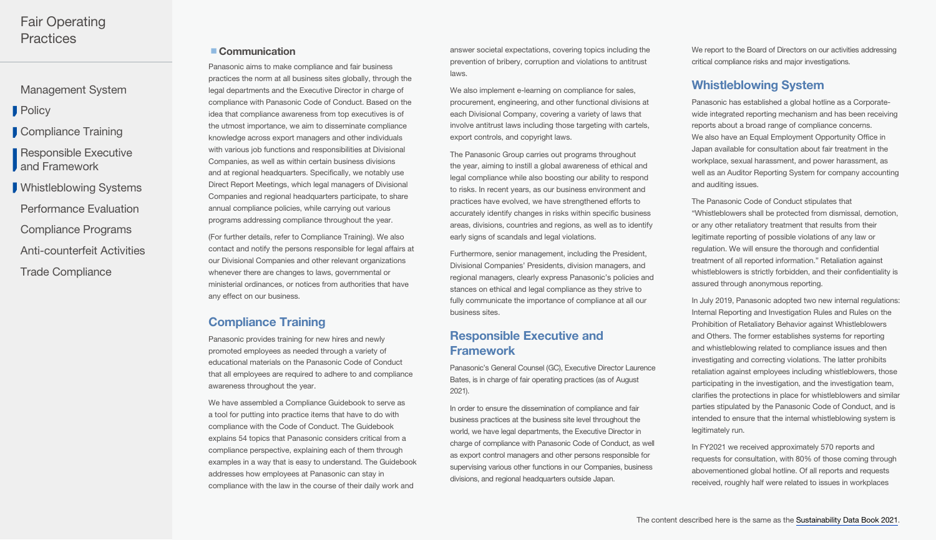<span id="page-2-0"></span>[Management System](#page-0-0)

**[Policy](#page-1-0)** 

Compliance Training

Responsible Executive **J** and Framework

[Trade Compliance](#page-6-0) [Anti-counterfeit Activities](#page-6-0) [Compliance Programs](#page-3-0) [Performance Evaluation](#page-3-0) Whistleblowing Systems

## ■ Communication

Panasonic aims to make compliance and fair business practices the norm at all business sites globally, through the legal departments and the Executive Director in charge of compliance with Panasonic Code of Conduct. Based on the idea that compliance awareness from top executives is of the utmost importance, we aim to disseminate compliance knowledge across export managers and other individuals with various job functions and responsibilities at Divisional Companies, as well as within certain business divisions and at regional headquarters. Specifically, we notably use Direct Report Meetings, which legal managers of Divisional Companies and regional headquarters participate, to share annual compliance policies, while carrying out various programs addressing compliance throughout the year.

(For further details, refer to Compliance Training). We also contact and notify the persons responsible for legal affairs at our Divisional Companies and other relevant organizations whenever there are changes to laws, governmental or ministerial ordinances, or notices from authorities that have any effect on our business.

## Compliance Training

Panasonic provides training for new hires and newly promoted employees as needed through a variety of educational materials on the Panasonic Code of Conduct that all employees are required to adhere to and compliance awareness throughout the year.

We have assembled a Compliance Guidebook to serve as a tool for putting into practice items that have to do with compliance with the Code of Conduct. The Guidebook explains 54 topics that Panasonic considers critical from a compliance perspective, explaining each of them through examples in a way that is easy to understand. The Guidebook addresses how employees at Panasonic can stay in compliance with the law in the course of their daily work and

answer societal expectations, covering topics including the prevention of bribery, corruption and violations to antitrust laws.

We also implement e-learning on compliance for sales, procurement, engineering, and other functional divisions at each Divisional Company, covering a variety of laws that involve antitrust laws including those targeting with cartels, export controls, and copyright laws.

The Panasonic Group carries out programs throughout the year, aiming to instill a global awareness of ethical and legal compliance while also boosting our ability to respond to risks. In recent years, as our business environment and practices have evolved, we have strengthened efforts to accurately identify changes in risks within specific business areas, divisions, countries and regions, as well as to identify early signs of scandals and legal violations.

Furthermore, senior management, including the President, Divisional Companies' Presidents, division managers, and regional managers, clearly express Panasonic's policies and stances on ethical and legal compliance as they strive to fully communicate the importance of compliance at all our business sites.

## Responsible Executive and Framework

Panasonic's General Counsel (GC), Executive Director Laurence Bates, is in charge of fair operating practices (as of August 2021).

In order to ensure the dissemination of compliance and fair business practices at the business site level throughout the world, we have legal departments, the Executive Director in charge of compliance with Panasonic Code of Conduct, as well as export control managers and other persons responsible for supervising various other functions in our Companies, business divisions, and regional headquarters outside Japan.

We report to the Board of Directors on our activities addressing critical compliance risks and major investigations.

## Whistleblowing System

Panasonic has established a global hotline as a Corporatewide integrated reporting mechanism and has been receiving reports about a broad range of compliance concerns. We also have an Equal Employment Opportunity Office in Japan available for consultation about fair treatment in the workplace, sexual harassment, and power harassment, as well as an Auditor Reporting System for company accounting and auditing issues.

The Panasonic Code of Conduct stipulates that "Whistleblowers shall be protected from dismissal, demotion, or any other retaliatory treatment that results from their legitimate reporting of possible violations of any law or regulation. We will ensure the thorough and confidential treatment of all reported information." Retaliation against whistleblowers is strictly forbidden, and their confidentiality is assured through anonymous reporting.

In July 2019, Panasonic adopted two new internal regulations: Internal Reporting and Investigation Rules and Rules on the Prohibition of Retaliatory Behavior against Whistleblowers and Others. The former establishes systems for reporting and whistleblowing related to compliance issues and then investigating and correcting violations. The latter prohibits retaliation against employees including whistleblowers, those participating in the investigation, and the investigation team, clarifies the protections in place for whistleblowers and similar parties stipulated by the Panasonic Code of Conduct, and is intended to ensure that the internal whistleblowing system is legitimately run.

In FY2021 we received approximately 570 reports and requests for consultation, with 80% of those coming through abovementioned global hotline. Of all reports and requests received, roughly half were related to issues in workplaces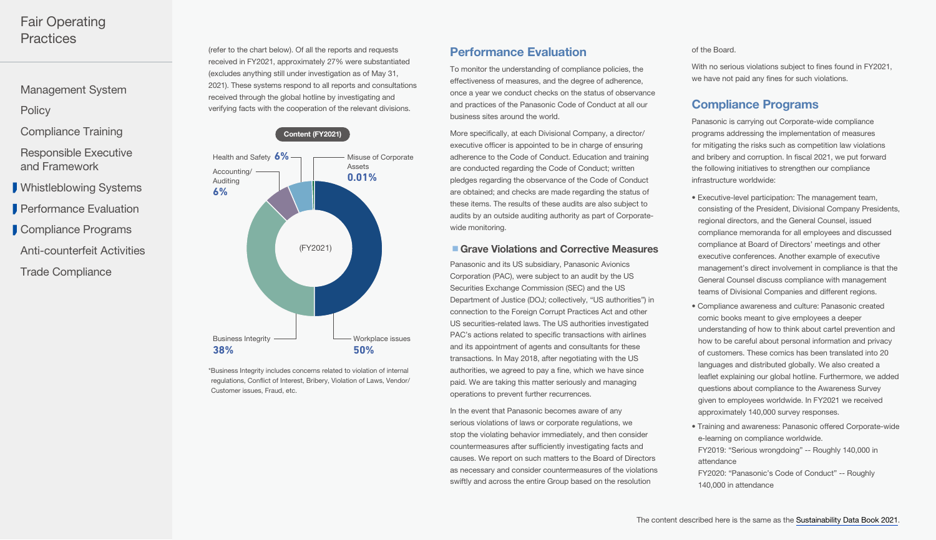<span id="page-3-0"></span>[Management System](#page-0-0)

**[Policy](#page-1-0)** 

[Compliance Training](#page-2-0)

[Responsible Executive](#page-2-0)  and Framework

[Whistleblowing Systems](#page-2-0)

**Performance Evaluation** 

Compliance Programs

[Anti-counterfeit Activities](#page-6-0)

[Trade Compliance](#page-6-0)

(refer to the chart below). Of all the reports and requests received in FY2021, approximately 27% were substantiated (excludes anything still under investigation as of May 31, 2021). These systems respond to all reports and consultations received through the global hotline by investigating and verifying facts with the cooperation of the relevant divisions.



\*Business Integrity includes concerns related to violation of internal regulations, Conflict of Interest, Bribery, Violation of Laws, Vendor/ Customer issues, Fraud, etc.

## Performance Evaluation

To monitor the understanding of compliance policies, the effectiveness of measures, and the degree of adherence, once a year we conduct checks on the status of observance and practices of the Panasonic Code of Conduct at all our business sites around the world.

More specifically, at each Divisional Company, a director/ executive officer is appointed to be in charge of ensuring adherence to the Code of Conduct. Education and training are conducted regarding the Code of Conduct; written pledges regarding the observance of the Code of Conduct are obtained; and checks are made regarding the status of these items. The results of these audits are also subject to audits by an outside auditing authority as part of Corporatewide monitoring.

#### ■ Grave Violations and Corrective Measures

Panasonic and its US subsidiary, Panasonic Avionics Corporation (PAC), were subject to an audit by the US Securities Exchange Commission (SEC) and the US Department of Justice (DOJ; collectively, "US authorities") in connection to the Foreign Corrupt Practices Act and other US securities-related laws. The US authorities investigated PAC's actions related to specific transactions with airlines and its appointment of agents and consultants for these transactions. In May 2018, after negotiating with the US authorities, we agreed to pay a fine, which we have since paid. We are taking this matter seriously and managing operations to prevent further recurrences.

In the event that Panasonic becomes aware of any serious violations of laws or corporate regulations, we stop the violating behavior immediately, and then consider countermeasures after sufficiently investigating facts and causes. We report on such matters to the Board of Directors as necessary and consider countermeasures of the violations swiftly and across the entire Group based on the resolution

#### of the Board.

With no serious violations subject to fines found in FY2021, we have not paid any fines for such violations.

## Compliance Programs

Panasonic is carrying out Corporate-wide compliance programs addressing the implementation of measures for mitigating the risks such as competition law violations and bribery and corruption. In fiscal 2021, we put forward the following initiatives to strengthen our compliance infrastructure worldwide:

- Executive-level participation: The management team, consisting of the President, Divisional Company Presidents, regional directors, and the General Counsel, issued compliance memoranda for all employees and discussed compliance at Board of Directors' meetings and other executive conferences. Another example of executive management's direct involvement in compliance is that the General Counsel discuss compliance with management teams of Divisional Companies and different regions.
- Compliance awareness and culture: Panasonic created comic books meant to give employees a deeper understanding of how to think about cartel prevention and how to be careful about personal information and privacy of customers. These comics has been translated into 20 languages and distributed globally. We also created a leaflet explaining our global hotline. Furthermore, we added questions about compliance to the Awareness Survey given to employees worldwide. In FY2021 we received approximately 140,000 survey responses.
- Training and awareness: Panasonic offered Corporate-wide e-learning on compliance worldwide. FY2019: "Serious wrongdoing" -- Roughly 140,000 in attendance FY2020: "Panasonic's Code of Conduct" -- Roughly 140,000 in attendance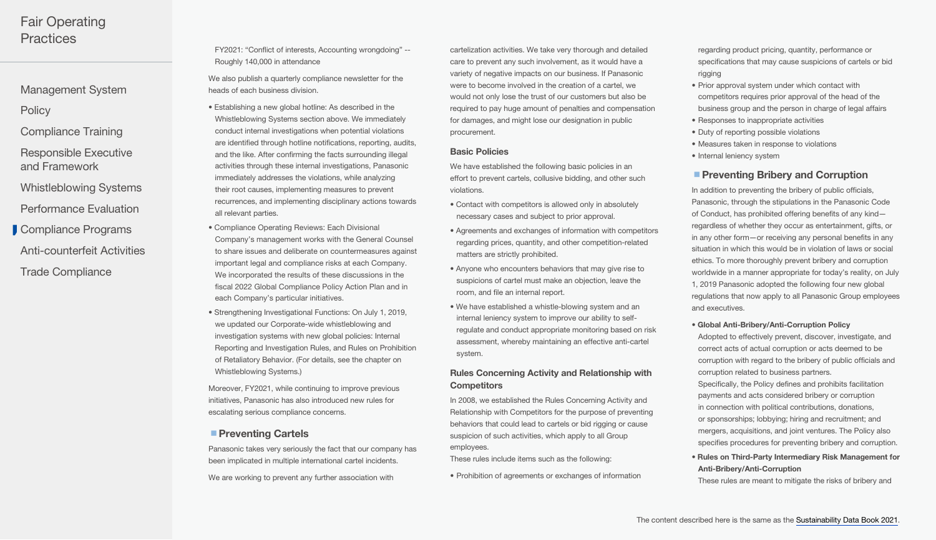- [Management System](#page-0-0)
- **[Policy](#page-1-0)**
- [Compliance Training](#page-2-0)
- [Responsible Executive](#page-2-0)  and Framework
- [Whistleblowing Systems](#page-2-0)
- [Performance Evaluation](#page-3-0)
- [Anti-counterfeit Activities](#page-6-0) [Compliance Programs](#page-3-0)
- [Trade Compliance](#page-6-0)

FY2021: "Conflict of interests, Accounting wrongdoing" -- Roughly 140,000 in attendance

We also publish a quarterly compliance newsletter for the heads of each business division.

- Establishing a new global hotline: As described in the Whistleblowing Systems section above. We immediately conduct internal investigations when potential violations are identified through hotline notifications, reporting, audits, and the like. After confirming the facts surrounding illegal activities through these internal investigations, Panasonic immediately addresses the violations, while analyzing their root causes, implementing measures to prevent recurrences, and implementing disciplinary actions towards all relevant parties.
- Compliance Operating Reviews: Each Divisional Company's management works with the General Counsel to share issues and deliberate on countermeasures against important legal and compliance risks at each Company. We incorporated the results of these discussions in the fiscal 2022 Global Compliance Policy Action Plan and in each Company's particular initiatives.
- Strengthening Investigational Functions: On July 1, 2019, we updated our Corporate-wide whistleblowing and investigation systems with new global policies: Internal Reporting and Investigation Rules, and Rules on Prohibition of Retaliatory Behavior. (For details, see the chapter on Whistleblowing Systems.)

Moreover, FY2021, while continuing to improve previous initiatives, Panasonic has also introduced new rules for escalating serious compliance concerns.

## ■ Preventing Cartels

Panasonic takes very seriously the fact that our company has been implicated in multiple international cartel incidents.

We are working to prevent any further association with

cartelization activities. We take very thorough and detailed care to prevent any such involvement, as it would have a variety of negative impacts on our business. If Panasonic were to become involved in the creation of a cartel, we would not only lose the trust of our customers but also be required to pay huge amount of penalties and compensation for damages, and might lose our designation in public procurement.

#### Basic Policies

We have established the following basic policies in an effort to prevent cartels, collusive bidding, and other such violations.

- Contact with competitors is allowed only in absolutely necessary cases and subject to prior approval.
- Agreements and exchanges of information with competitors regarding prices, quantity, and other competition-related matters are strictly prohibited.
- Anyone who encounters behaviors that may give rise to suspicions of cartel must make an objection, leave the room, and file an internal report.
- We have established a whistle-blowing system and an internal leniency system to improve our ability to selfregulate and conduct appropriate monitoring based on risk assessment, whereby maintaining an effective anti-cartel system.

## Rules Concerning Activity and Relationship with **Competitors**

In 2008, we established the Rules Concerning Activity and Relationship with Competitors for the purpose of preventing behaviors that could lead to cartels or bid rigging or cause suspicion of such activities, which apply to all Group employees.

These rules include items such as the following:

• Prohibition of agreements or exchanges of information

regarding product pricing, quantity, performance or specifications that may cause suspicions of cartels or bid rigging

- Prior approval system under which contact with competitors requires prior approval of the head of the business group and the person in charge of legal affairs
- Responses to inappropriate activities
- Duty of reporting possible violations
- Measures taken in response to violations
- Internal leniency system

#### **Preventing Bribery and Corruption**

In addition to preventing the bribery of public officials, Panasonic, through the stipulations in the Panasonic Code of Conduct, has prohibited offering benefits of any kind regardless of whether they occur as entertainment, gifts, or in any other form—or receiving any personal benefits in any situation in which this would be in violation of laws or social ethics. To more thoroughly prevent bribery and corruption worldwide in a manner appropriate for today's reality, on July 1, 2019 Panasonic adopted the following four new global regulations that now apply to all Panasonic Group employees and executives.

• Global Anti-Bribery/Anti-Corruption Policy

Adopted to effectively prevent, discover, investigate, and correct acts of actual corruption or acts deemed to be corruption with regard to the bribery of public officials and corruption related to business partners. Specifically, the Policy defines and prohibits facilitation payments and acts considered bribery or corruption in connection with political contributions, donations, or sponsorships; lobbying; hiring and recruitment; and mergers, acquisitions, and joint ventures. The Policy also specifies procedures for preventing bribery and corruption.

• Rules on Third-Party Intermediary Risk Management for Anti-Bribery/Anti-Corruption

These rules are meant to mitigate the risks of bribery and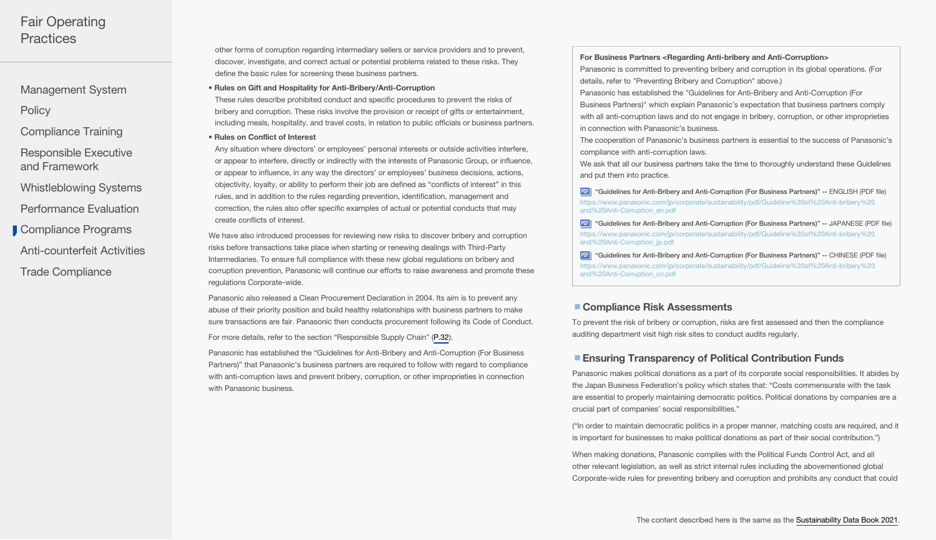[Management System](#page-0-0)

**[Policy](#page-1-0)** 

[Compliance Training](#page-2-0)

[Responsible Executive](#page-2-0)  and Framework

[Whistleblowing Systems](#page-2-0)

[Performance Evaluation](#page-3-0)

[Compliance Programs](#page-3-0)

[Anti-counterfeit Activities](#page-6-0)

[Trade Compliance](#page-6-0)

other forms of corruption regarding intermediary sellers or service providers and to prevent, discover, investigate, and correct actual or potential problems related to these risks. They define the basic rules for screening these business partners.

• Rules on Gift and Hospitality for Anti-Bribery/Anti-Corruption

These rules describe prohibited conduct and specific procedures to prevent the risks of bribery and corruption. These risks involve the provision or receipt of gifts or entertainment, including meals, hospitality, and travel costs, in relation to public officials or business partners.

• Rules on Conflict of Interest

Any situation where directors' or employees' personal interests or outside activities interfere, or appear to interfere, directly or indirectly with the interests of Panasonic Group, or influence, or appear to influence, in any way the directors' or employees' business decisions, actions, objectivity, loyalty, or ability to perform their job are defined as "conflicts of interest" in this rules, and in addition to the rules regarding prevention, identification, management and correction, the rules also offer specific examples of actual or potential conducts that may create conflicts of interest.

We have also introduced processes for reviewing new risks to discover bribery and corruption risks before transactions take place when starting or renewing dealings with Third-Party Intermediaries. To ensure full compliance with these new global regulations on bribery and corruption prevention, Panasonic will continue our efforts to raise awareness and promote these regulations Corporate-wide.

Panasonic also released a Clean Procurement Declaration in 2004. Its aim is to prevent any abuse of their priority position and build healthy relationships with business partners to make sure transactions are fair. Panasonic then conducts procurement following its Code of Conduct.

For more details, refer to the section "Responsible Supply Chain" ([P.32\)](https://holdings.panasonic/global/corporate/sustainability/pdf/sdb202204e-supply_chain.pdf#management).

Panasonic has established the "Guidelines for Anti-Bribery and Anti-Corruption (For Business Partners)" that Panasonic's business partners are required to follow with regard to compliance with anti-corruption laws and prevent bribery, corruption, or other improprieties in connection with Panasonic business.

#### For Business Partners <Regarding Anti-bribery and Anti-Corruption>

Panasonic is committed to preventing bribery and corruption in its global operations. (For details, refer to "Preventing Bribery and Corruption" above.)

Panasonic has established the "Guidelines for Anti-Bribery and Anti-Corruption (For Business Partners)" which explain Panasonic's expectation that business partners comply with all anti-corruption laws and do not engage in bribery, corruption, or other improprieties in connection with Panasonic's business.

The cooperation of Panasonic's business partners is essential to the success of Panasonic's compliance with anti-corruption laws.

We ask that all our business partners take the time to thoroughly understand these Guidelines and put them into practice.

PDF ["Guidelines for Anti-Bribery and Anti-Corruption \(For Business Partners\)" --](https://www.panasonic.com/jp/corporate/sustainability/pdf/Guideline%20of%20Anti-bribery%20and%20Anti-Corruption_en.pdf) ENGLISH (PDF file) [https://www.panasonic.com/jp/corporate/sustainability/pdf/Guideline%20of%20Anti-bribery%20](https://www.panasonic.com/jp/corporate/sustainability/pdf/Guideline%20of%20Anti-bribery%20and%20Anti-Corruption_en.pdf) [and%20Anti-Corruption\\_en.pdf](https://www.panasonic.com/jp/corporate/sustainability/pdf/Guideline%20of%20Anti-bribery%20and%20Anti-Corruption_en.pdf)

PDF ["Guidelines for Anti-Bribery and Anti-Corruption \(For Business Partners\)" --](https://www.panasonic.com/jp/corporate/sustainability/pdf/Guideline%20of%20Anti-bribery%20and%20Anti-Corruption_jp.pdf) JAPANESE (PDF file) [https://www.panasonic.com/jp/corporate/sustainability/pdf/Guideline%20of%20Anti-bribery%20](https://www.panasonic.com/jp/corporate/sustainability/pdf/Guideline%20of%20Anti-bribery%20and%20Anti-Corruption_jp.pdf) [and%20Anti-Corruption\\_jp.pdf](https://www.panasonic.com/jp/corporate/sustainability/pdf/Guideline%20of%20Anti-bribery%20and%20Anti-Corruption_jp.pdf)

PDF ["Guidelines for Anti-Bribery and Anti-Corruption \(For Business Partners\)" --](https://www.panasonic.com/jp/corporate/sustainability/pdf/Guideline%20of%20Anti-bribery%20and%20Anti-Corruption_cn.pdf) CHINESE (PDF file) [https://www.panasonic.com/jp/corporate/sustainability/pdf/Guideline%20of%20Anti-bribery%20](https://www.panasonic.com/jp/corporate/sustainability/pdf/Guideline%20of%20Anti-bribery%20and%20Anti-Corruption_cn.pdf) [and%20Anti-Corruption\\_cn.pdf](https://www.panasonic.com/jp/corporate/sustainability/pdf/Guideline%20of%20Anti-bribery%20and%20Anti-Corruption_cn.pdf)

## ■ Compliance Risk Assessments

To prevent the risk of bribery or corruption, risks are first assessed and then the compliance auditing department visit high risk sites to conduct audits regularly.

## ■ Ensuring Transparency of Political Contribution Funds

Panasonic makes political donations as a part of its corporate social responsibilities. It abides by the Japan Business Federation's policy which states that: "Costs commensurate with the task are essential to properly maintaining democratic politics. Political donations by companies are a crucial part of companies' social responsibilities."

("In order to maintain democratic politics in a proper manner, matching costs are required, and it is important for businesses to make political donations as part of their social contribution.")

When making donations, Panasonic complies with the Political Funds Control Act, and all other relevant legislation, as well as strict internal rules including the abovementioned global Corporate-wide rules for preventing bribery and corruption and prohibits any conduct that could